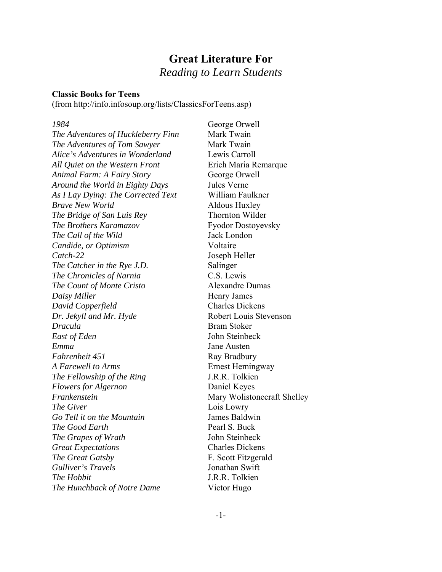## **Great Literature For** *Reading to Learn Students*

## **Classic Books for Teens**

(from http://info.infosoup.org/lists/ClassicsForTeens.asp)

*The Adventures of Huckleberry Finn* Mark Twain *The Adventures of Tom Sawyer* Mark Twain *Alice's Adventures in Wonderland* Lewis Carroll *All Quiet on the Western Front* Erich Maria Remarque *Animal Farm: A Fairy Story* **George Orwell** *Around the World in Eighty Days* Jules Verne *As I Lay Dying: The Corrected Text* William Faulkner *Brave New World* **Aldous Huxley** *The Bridge of San Luis Rey* Thornton Wilder **The Brothers Karamazov** Fyodor Dostoyevsky *The Call of the Wild* Jack London *Candide, or Optimism* Voltaire *Catch-22* Joseph Heller *The Catcher in the Rye J.D.* Salinger *The Chronicles of Narnia* C.S. Lewis *The Count of Monte Cristo* Alexandre Dumas *Daisy Miller* Henry James *David Copperfield* Charles Dickens *Dr. Jekyll and Mr. Hyde* Robert Louis Stevenson *Dracula* Bram Stoker *East of Eden* John Steinbeck *Emma* Jane Austen *Fahrenheit 451* Ray Bradbury *A Farewell to Arms* Ernest Hemingway *The Fellowship of the Ring* J.R.R. Tolkien *Flowers for Algernon* Daniel Keyes *Frankenstein* Mary Wolistonecraft Shelley *The Giver* Lois Lowry *Go Tell it on the Mountain* James Baldwin *The Good Earth* Pearl S. Buck *The Grapes of Wrath* John Steinbeck *Great Expectations* Charles Dickens **The Great Gatsby F. Scott Fitzgerald** *Gulliver's Travels* Jonathan Swift *The Hobbit* **J.R.R. Tolkien** *The Hunchback of Notre Dame* Victor Hugo

*1984* George Orwell